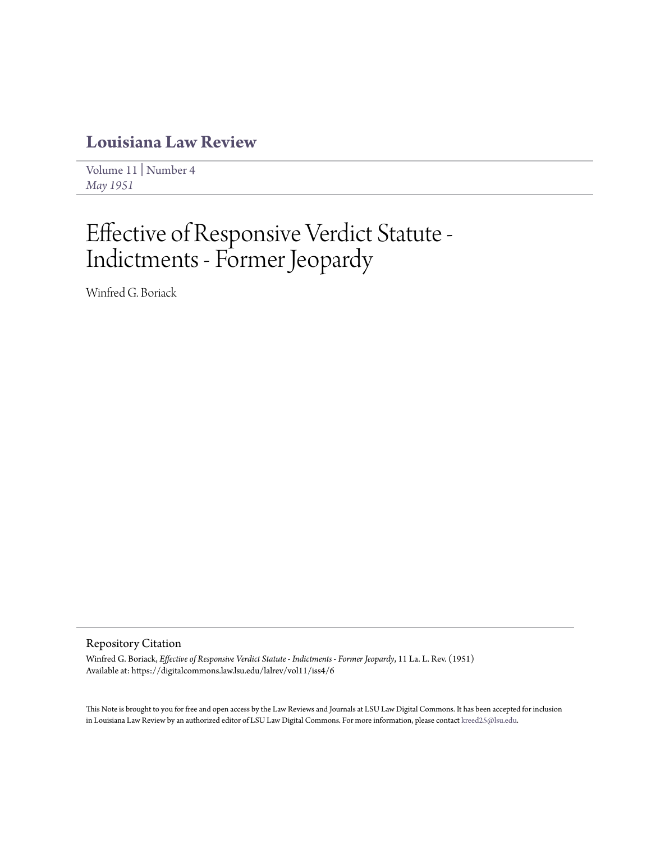## **[Louisiana Law Review](https://digitalcommons.law.lsu.edu/lalrev)**

[Volume 11](https://digitalcommons.law.lsu.edu/lalrev/vol11) | [Number 4](https://digitalcommons.law.lsu.edu/lalrev/vol11/iss4) *[May 1951](https://digitalcommons.law.lsu.edu/lalrev/vol11/iss4)*

# Effective of Responsive Verdict Statute - Indictments - Former Jeopardy

Winfred G. Boriack

### Repository Citation

Winfred G. Boriack, *Effective of Responsive Verdict Statute - Indictments - Former Jeopardy*, 11 La. L. Rev. (1951) Available at: https://digitalcommons.law.lsu.edu/lalrev/vol11/iss4/6

This Note is brought to you for free and open access by the Law Reviews and Journals at LSU Law Digital Commons. It has been accepted for inclusion in Louisiana Law Review by an authorized editor of LSU Law Digital Commons. For more information, please contact [kreed25@lsu.edu](mailto:kreed25@lsu.edu).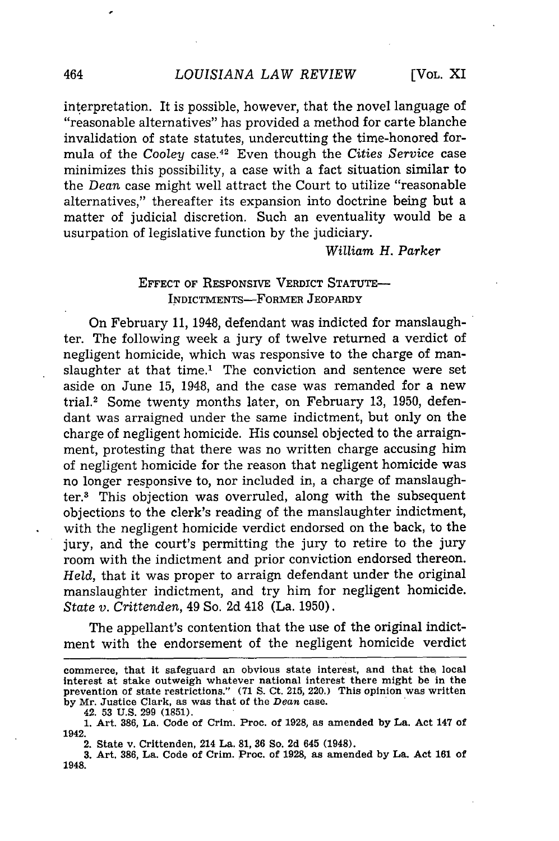interpretation. It is possible, however, that the novel language of "reasonable alternatives" has provided a method for carte blanche invalidation of state statutes, undercutting the time-honored formula of the *Cooley* case.42 Even though the *Cities Service* case minimizes this possibility, a case with a fact situation similar to the *Dean* case might well attract the Court to utilize "reasonable alternatives," thereafter its expansion into doctrine being but a matter of judicial discretion. Such an eventuality would be a usurpation of legislative function by the judiciary.

*William H. Parker*

#### EFFECT OF RESPONSIVE VERDICT STATUTE-INDICTMENTS-FORMER JEOPARDY

On February 11, 1948, defendant was indicted for manslaughter. The following week a jury of twelve returned a verdict of negligent homicide, which was responsive to the charge of manslaughter at that time.' The conviction and sentence were set aside on June 15, 1948, and the case was remanded for a new trial.2 Some twenty months later, on February **13,** 1950, defendant was arraigned under the same indictment, but only on the charge of negligent homicide. His counsel objected to the arraignment, protesting that there was no written charge accusing him of negligent homicide for the reason that negligent homicide was no longer responsive to, nor included in, a charge of manslaughter.3 This objection was overruled, along with the subsequent objections to the clerk's reading of the manslaughter indictment, with the negligent homicide verdict endorsed on the back, to the jury, and the court's permitting the jury to retire to the jury room with the indictment and prior conviction endorsed thereon. *Held,* that it was proper to arraign defendant under the original manslaughter indictment, and try him for negligent homicide. *State v. Crittenden,* 49 So. 2d 418 (La. 1950).

The appellant's contention that the use of the original indictment with the endorsement of the negligent homicide verdict

commerce, **that it** safeguard **an** obvious **state** interest, **and that the local** interest **at stake** outweigh whatever national **interest there** might be **in the** prevention of state restrictions." **(71 S. Ct. 215,** 220.) This opinion **was written by** Mr. Justice Clark, as **was** that of the *Dean* case.

<sup>42.</sup> **53 U.S. 299 (1851).**

**<sup>1.</sup>** Art. **386, La.** Code of Crim. Proc. of **1928,** as amended **by La. Act** 147 of **1942.**

**<sup>2.</sup> State v. Crittenden, 214 La. 81, 36 So. 2d 645 (1948).**

**<sup>3.</sup> Art. 386, La. Code of Crim. Proc. of 1928, as amended by La. Act 161 of**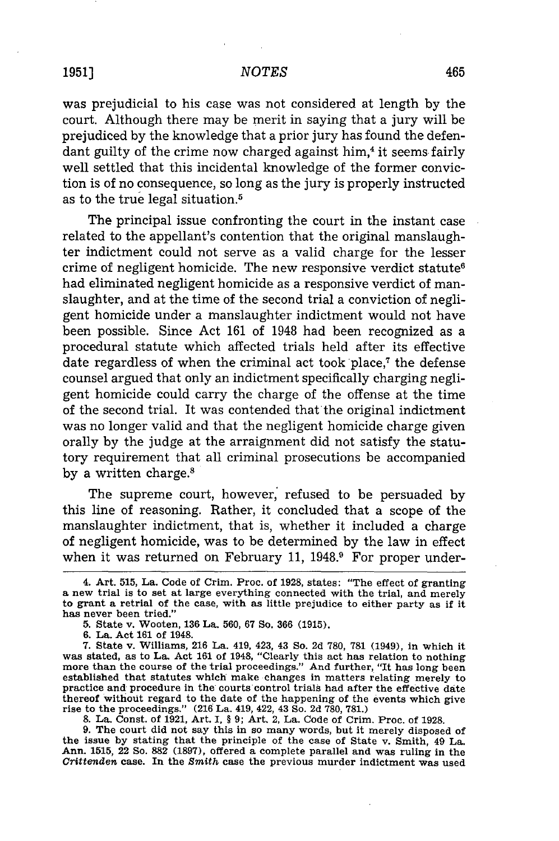#### *NOTES*

was prejudicial to his case was not considered at length by the court. Although there may be merit in saying that a jury will be prejudiced by the knowledge that a prior jury has found the defendant guilty of the crime now charged against him,<sup>4</sup> it seems fairly well settled that this incidental knowledge of the former conviction is of no consequence, so long as the jury is properly instructed as to the true legal situation.<sup>5</sup>

The principal issue confronting the court in the instant case related to the appellant's contention that the original manslaughter indictment could not serve as a valid charge for the lesser crime of negligent homicide. The new responsive verdict statute<sup>6</sup> had eliminated negligent homicide as a responsive verdict of manslaughter, and at the time of the second trial a conviction of negligent homicide under a manslaughter indictment would not have been possible. Since Act 161 of 1948 had been recognized as a procedural statute which affected trials held after its effective date regardless of when the criminal act took place,7 the defense counsel argued that only an indictment specifically charging negligent homicide could carry the charge of the offense at the time of the second trial. It was contended that the original indictment was no longer valid and that the negligent homicide charge given orally by the judge at the arraignment did not satisfy the statutory requirement that all criminal prosecutions be accompanied by a written charge.<sup>8</sup>

The supreme court, however, refused to be persuaded by this line of reasoning. Rather, it concluded that a scope of the manslaughter indictment, that is, whether it included a charge of negligent homicide, was to be determined by the law in effect when it was returned on February 11,  $1948.9$  For proper under-

**8.** La. Const. of **1921,** Art. I, § **9;** Art. 2, La. Code of Crim. Proc. of **1928.**

**9.** The court did not say this in so many words, but it merely disposed of the issue **by** stating that the principle of the case of State v. Smith, 49 La. Ann. **1515,** 22 So. 882 **(1897),** offered a complete parallel and was ruling in the *Crittenden* case. In the *Smith* case the previous murder indictment was used

<sup>4.</sup> Art. 515, La. Code of Crim. Proc. of 1928, states: "The effect of granting a new trial is to set at large everything connected with the trial, and merely to grant a retrial of the case, with as little prejudice to either party as if it has never been tried."

<sup>5.</sup> State v. Wooten, **136** La. 560, 67 So. **366 (1915).**

**<sup>6.</sup>** La. Act **161** of 1948.

**<sup>7.</sup>** State v. Williams, **216** La. 419, 423, 43 So. **2d 780, 781** (1949), in which it was stated, as to La. Act **161** of 1948, "Clearly this act has relation to nothing more than the course of the trial proceedings." And further, "It has long been established that statutes which make changes in matters relating merely to practice and procedure **in** the courts control trials had after the effective date thereof without regard to the date of the happening of the events which give rise to the proceedings." **(216** La. 419, 422, 43 So. **2d 780, 781.)**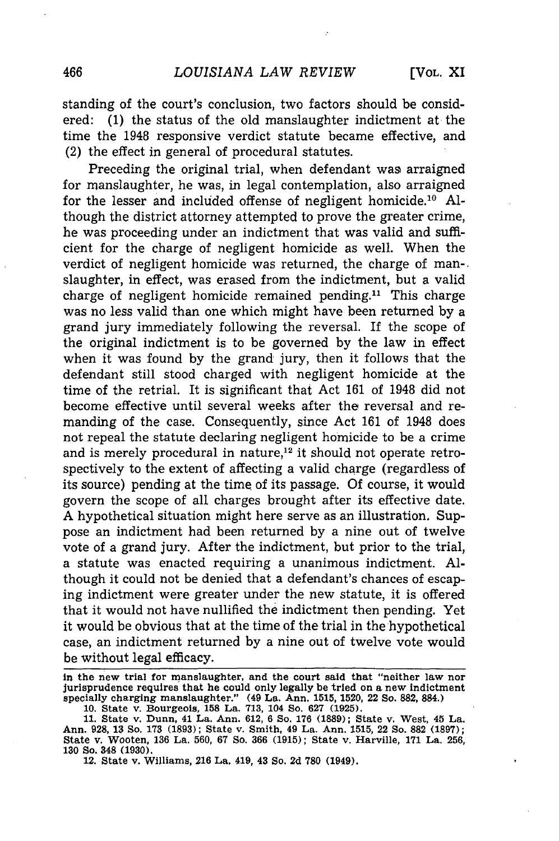standing of the court's conclusion, two factors should be considered: (1) the status of the old manslaughter indictment at the time the 1948 responsive verdict statute became effective, and (2) the effect in general of procedural statutes.

Preceding the original trial, when defendant was arraigned for manslaughter, he was, in legal contemplation, also arraigned for the lesser and included offense of negligent homicide.<sup>10</sup> Although the district attorney attempted to prove the greater crime, he was proceeding under an indictment that was valid and sufficient for the charge of negligent homicide as well. When the verdict of negligent homicide was returned, the charge of man-. slaughter, in effect, was erased from the indictment, but a valid charge of negligent homicide remained pending.<sup>11</sup> This charge was no less valid than one which might have been returned by a grand jury immediately following the reversal. If the scope of the original indictment is to be governed by the law in effect when it was found by the grand jury, then it follows that the defendant still stood charged with negligent homicide at the time of the retrial. It is significant that Act 161 of 1948 did not become effective until several weeks after the reversal and remanding of the case. Consequently, since Act 161 of 1948 does not repeal the statute declaring negligent homicide to be a crime and is merely procedural in nature,<sup>12</sup> it should not operate retrospectively to the extent of affecting a valid charge (regardless of its source) pending at the time of its passage. Of course, it would govern the scope of all charges brought after its effective date. A hypothetical situation might here serve as an illustration. Suppose an indictment had been returned by a nine out of twelve vote of a grand jury. After the indictment, but prior to the trial, a statute was enacted requiring a unanimous indictment. Although it could not be denied that a defendant's chances of escaping indictment were greater under the new statute, it is offered that it would not have nullified the indictment then pending. Yet it would be obvious that at the time of the trial in the hypothetical case, an indictment returned by a nine out of twelve vote would be without legal efficacy.

**in the new trial for manslaughter, and the court said that "neither law nor jurisprudence requires that he could only legally be tried on a new indictment specially charging manslaughter." (49 La. Ann. 1515, 1520,** 22 **So. 882, 884.) 10. State v. Bourgeois, 158 La. 713, 104 So. 627 (1925).**

**<sup>11.</sup> State v. Dunn, 41 La. Ann. 612, 6 So. 176 (1889); State v. West, 45 La. Ann. 928, 13 So. 173 (1893); State v. Smith, 49 La. Ann. 1515,** 22 **So. 882 (1897); State v. Wooten, 136 La. 560, 67 So. 366 (1915); State v. Harville, 171 La. 256, 130 So. 348 (1930).**

**<sup>12.</sup> State v. Williams, 216 La. 419, 43 So. 2d 780 (1949).**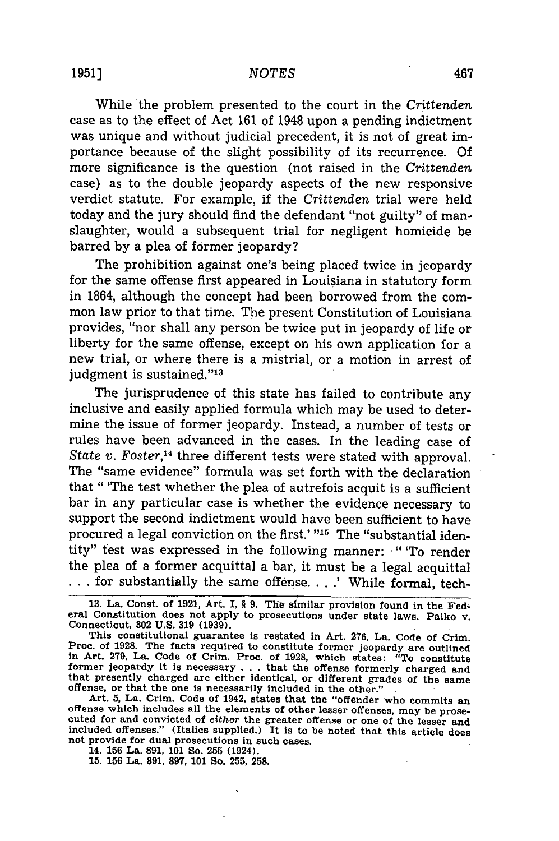While the problem presented to the court in the *Crittenden* case as to the effect of Act 161 of 1948 upon a pending indictment was unique and without judicial precedent, it is not of great importance because of the slight possibility of its recurrence. Of more significance is the question (not raised in the *Crittenden* case) as to the double jeopardy aspects of the new responsive verdict statute. For example, if the *Crittenden* trial were held today and the jury should find the defendant "not guilty" of manslaughter, would a subsequent trial for negligent homicide be barred by a plea of former jeopardy?

The prohibition against one's being placed twice in jeopardy for the same offense first appeared in Louisiana in statutory form in 1864, although the concept had been borrowed from the common law prior to that time. The present Constitution of Louisiana provides, "nor shall any person be twice put in jeopardy of life or liberty for the same offense, except on his own application for a new trial, or where there is a mistrial, or a motion in arrest of judgment is sustained."<sup>13</sup>

The jurisprudence of this state has failed to contribute any inclusive and easily applied formula which may be used to determine the issue of former jeopardy. Instead, a number of tests or rules have been advanced in the cases. In the leading case of State v. Foster,<sup>14</sup> three different tests were stated with approval. The "same evidence" formula was set forth with the declaration that " 'The test whether the plea of autrefois acquit is a sufficient bar in any particular case is whether the evidence necessary to support the second indictment would have been sufficient to have procured a legal conviction on the first.' "<sup>15</sup> The "substantial identity" test was expressed in the following manner: "'To render the plea of a former acquittal a bar, it must be a legal acquittal **...** for substantially the same offense. . . **.'** While formal, tech-

13. La. Const. of 1921, Art. I, § 9. The similar provision found in the Fed**eral** Constitution **does** not apply to prosecutions **under state laws. Palko** v. Connecticut, **302 U.S. 319 (1939).**

This constitutional guarantee **is** restated in Art. **276, La.** Code of Crim. Proc. of **1928. The** facts required to constitute former jeopardy are outlined in Art. **279, La. Code** of Crim. Proc. of **1928,** which states: "To constitute former isopardy it is necessary... that the offense, when states. To constitute<br>that presently charged are either identical, or different grades of the same<br>offense, or that the one is necessarily included in the other."

offense, or that the one is necessarily included in the other."<br>Art. 5, La. Crim. Code of 1942, states that the "offender who commits an<br>offense which includes all the elements of other lesser offenses, may be prose-<br>cuted **included offenses." (Italics supplied.) It is to be noted that this article does not provide for dual prosecutions in such cases. 14. 156 La. 891, 101 So. 255 (1924).**

**15. 156 La. 891, 897, 101 So. 255, 258.**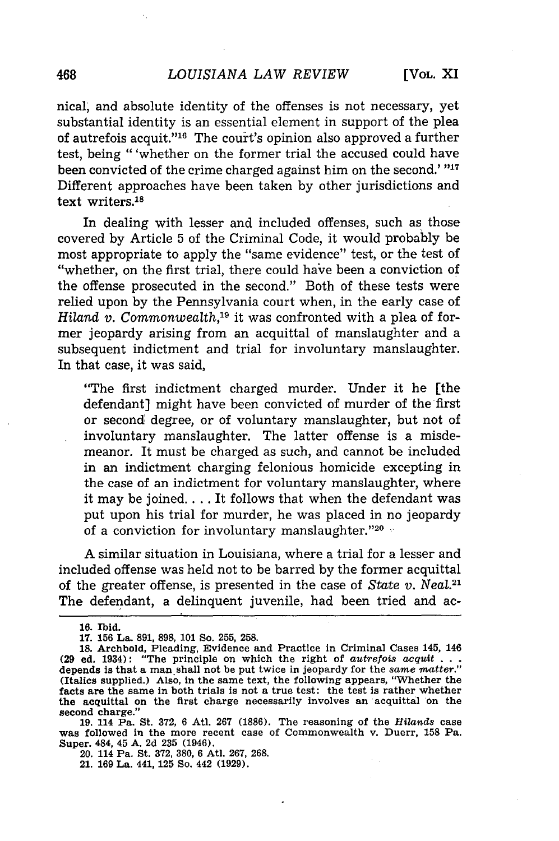nical, and absolute identity of the offenses is not necessary, yet substantial identity is an essential element in support of the plea of autrefois acquit."'16 The court's opinion also approved a further test, being "'whether on the former trial the accused could have been convicted of the crime charged against him on the second.' **"17** Different approaches have been taken by other jurisdictions and text writers.18

In dealing with lesser and included offenses, such as those covered by Article 5 of the Criminal Code, it would probably be most appropriate to apply the "same evidence" test, or the test of "whether, on the first trial, there could have been a conviction of the offense prosecuted in the second." Both of these tests were relied upon by the Pennsylvania court when, in the early case of *Hiland v. Commonwealth*,<sup>19</sup> it was confronted with a plea of former jeopardy arising from an acquittal of manslaughter and a subsequent indictment and trial for involuntary manslaughter. In that case, it was said,

"The first indictment charged murder. Under it he [the defendant] might have been convicted of murder of the first or second degree, or of voluntary manslaughter, but not of involuntary manslaughter. The latter offense is a misdemeanor. It must be charged as such, and cannot be included in an indictment charging felonious homicide excepting in the case of an indictment for voluntary manslaughter, where it may be joined.... It follows that when the defendant was put upon his trial for murder, he was placed in no jeopardy of a conviction for involuntary manslaughter. '20 **-**

A similar situation in Louisiana, where a trial for a lesser and included offense was held not to be barred by the former acquittal of the greater offense, is presented in the case of *State v. Neal.2'* The defendant, a delinquent juvenile, had been tried and ac-

**19. 114 Pa. St. 372, 6 Atl. 267 (1886). The reasoning of the** *Hilands* **case was followed in the more recent case of Commonwealth v. Duerr, 158 Pa. Super. 484, 45 A. 2d 235 (1946).**

**20. 114 Pa. St. 372, 380, 6 Atl. 267, 268.**

**21. 169 La. 441, 125 So. 442 (1929).**

**<sup>16.</sup> Ibid.**

**<sup>17. 156</sup> La. 891, 898, 101 So. 255, 258.**

**<sup>18.</sup> Archbold, Pleading, Evidence and Practice in Criminal Cases 145, 146 (29 ed. 1934): "The principle on which the right of** *autrefois acqut . . .* **depends is that a man.shall not be put twice in jeopardy for the** same *matter."* **(Italics supplied.) Also, in the same text, the following appears, "Whether the facts are the same in both trials is not a true test: the test is rather whether the acquittal on the first charge necessarily involves an acquittal on the second charge."**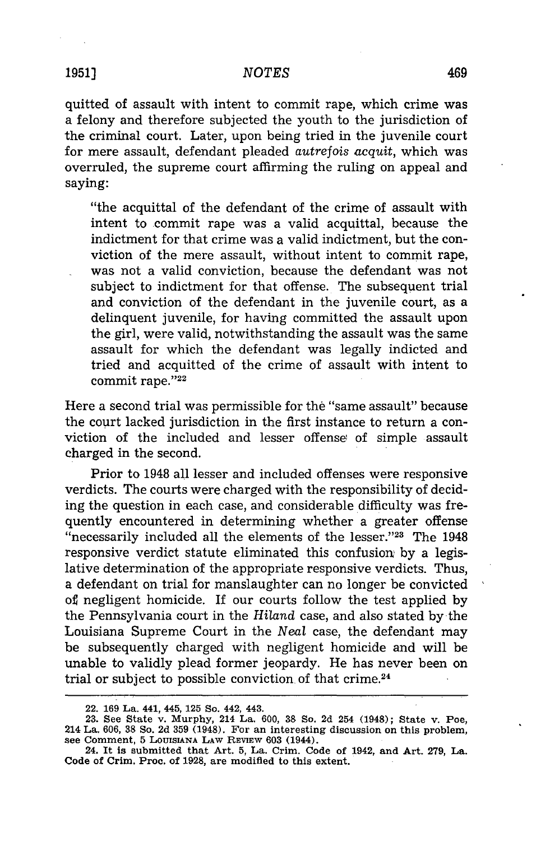quitted of assault with intent to commit rape, which crime was a felony and therefore subjected the youth to the jurisdiction of the criminal court. Later, upon being tried in the juvenile court for mere assault, defendant pleaded *autrefois acquit,* which was overruled, the supreme court affirming the ruling on appeal and saying:

"the acquittal of the defendant of the crime of assault with intent to commit rape was a valid acquittal, because the indictment for that crime was a valid indictment, but the conviction of the mere assault, without intent to commit rape, was not a valid conviction, because the defendant was not subject to indictment for that offense. The subsequent trial and conviction of the defendant in the juvenile court, as a delinquent juvenile, for having committed the assault upon the girl, were valid, notwithstanding the assault was the same assault for which the defendant was legally indicted and tried and acquitted of the crime of assault with intent to commit rape."22

Here a second trial was permissible for the "same assault" because the court lacked jurisdiction in the first instance to return a conviction of the included and lesser offense of simple assault charged in the second.

Prior to 1948 all lesser and included offenses were responsive verdicts. The courts were charged with the responsibility of deciding the question in each case, and considerable difficulty was frequently encountered in determining whether a greater offense "necessarily included all the elements of the lesser."<sup>23</sup> The 1948 responsive verdict statute eliminated this confusion by a legislative determination of the appropriate responsive verdicts. Thus, a defendant on trial for manslaughter can no longer be convicted of negligent homicide. If our courts follow the test applied by the Pennsylvania court in the *Hiland* case, and also stated by the Louisiana Supreme Court in the *Neal* case, the defendant may be subsequently charged with negligent homicide and will be unable to validly plead former jeopardy. He has never been on trial or subject to possible conviction of that crime.<sup>24</sup>

**<sup>22. 169</sup> La. 441, 445, 125 So.** 442, **443.**

**<sup>23.</sup> See State v. Murphy, 214 La. 600, 38 So. 2d 254 (1948); State v. Poe, 214 La. 606, 38 So. 2d 359 (1948). For an interesting discussion on this problem, see Comment, 5 LOUISIANA LAW** REVIEW **603 (1944).**

**<sup>24.</sup> It is submitted that Art. 5, La. Crim. Code of 1942, and Art. 279, La. Code of Crim. Proc. of 1928, are modified to this extent.**